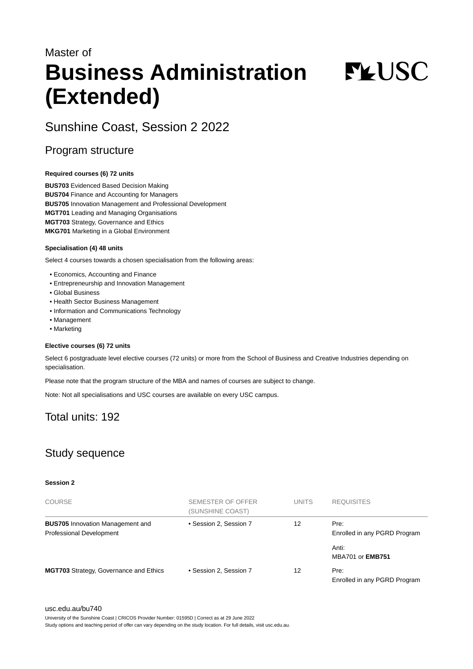# Master of **Business Administration (Extended)**

**FYUSC** 

# Sunshine Coast, Session 2 2022

### Program structure

#### **Required courses (6) 72 units**

**BUS703** Evidenced Based Decision Making **BUS704** Finance and Accounting for Managers **BUS705** Innovation Management and Professional Development **MGT701** Leading and Managing Organisations **MGT703** Strategy, Governance and Ethics **MKG701** Marketing in a Global Environment

#### **Specialisation (4) 48 units**

Select 4 courses towards a chosen specialisation from the following areas:

- Economics, Accounting and Finance
- Entrepreneurship and Innovation Management
- Global Business
- Health Sector Business Management
- Information and Communications Technology
- Management
- Marketing

#### **Elective courses (6) 72 units**

Select 6 postgraduate level elective courses (72 units) or more from the School of Business and Creative Industries depending on specialisation.

Please note that the program structure of the MBA and names of courses are subject to change.

Note: Not all specialisations and USC courses are available on every USC campus.

# Total units: 192

# Study sequence

#### **Session 2**

| <b>COURSE</b>                                                              | <b>SEMESTER OF OFFER</b><br>(SUNSHINE COAST) | <b>UNITS</b> | <b>REQUISITES</b>                    |
|----------------------------------------------------------------------------|----------------------------------------------|--------------|--------------------------------------|
| <b>BUS705</b> Innovation Management and<br><b>Professional Development</b> | • Session 2, Session 7                       | 12           | Pre:<br>Enrolled in any PGRD Program |
|                                                                            |                                              |              | Anti:<br><b>MBA701 or EMB751</b>     |
| <b>MGT703</b> Strategy, Governance and Ethics                              | • Session 2. Session 7                       | 12           | Pre:<br>Enrolled in any PGRD Program |

[usc.edu.au/bu740](https://www.usc.edu.au/bu740)

University of the Sunshine Coast | CRICOS Provider Number: 01595D | Correct as at 29 June 2022

Study options and teaching period of offer can vary depending on the study location. For full details, visit usc.edu.au.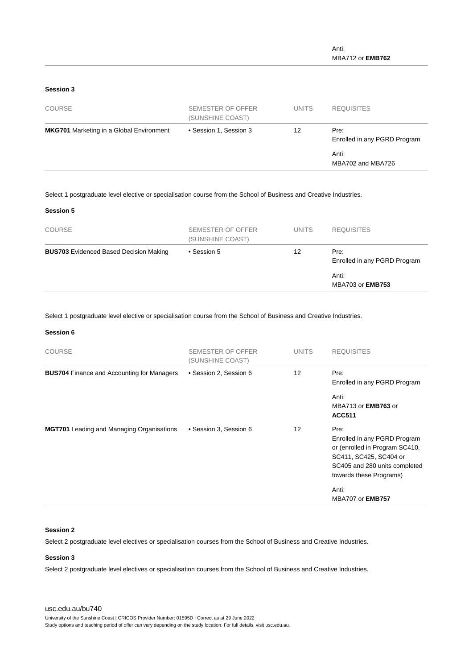#### **Session 3**

| <b>COURSE</b>                                   | SEMESTER OF OFFER<br>(SUNSHINE COAST) | <b>UNITS</b> | <b>REQUISITES</b>                    |
|-------------------------------------------------|---------------------------------------|--------------|--------------------------------------|
| <b>MKG701</b> Marketing in a Global Environment | • Session 1, Session 3                | 12           | Pre:<br>Enrolled in any PGRD Program |
|                                                 |                                       |              | Anti:<br>MBA702 and MBA726           |

Select 1 postgraduate level elective or specialisation course from the School of Business and Creative Industries.

#### **Session 5**

| <b>COURSE</b>                                 | SEMESTER OF OFFER<br>(SUNSHINE COAST) | <b>UNITS</b> | <b>REQUISITES</b>                    |
|-----------------------------------------------|---------------------------------------|--------------|--------------------------------------|
| <b>BUS703</b> Evidenced Based Decision Making | • Session 5                           | 12           | Pre:<br>Enrolled in any PGRD Program |
|                                               |                                       |              | Anti:<br>MBA703 or <b>EMB753</b>     |

Select 1 postgraduate level elective or specialisation course from the School of Business and Creative Industries.

#### **Session 6**

| <b>COURSE</b>                                     | SEMESTER OF OFFER<br>(SUNSHINE COAST) | <b>UNITS</b>      | <b>REQUISITES</b>                                                                                                                                            |
|---------------------------------------------------|---------------------------------------|-------------------|--------------------------------------------------------------------------------------------------------------------------------------------------------------|
| <b>BUS704 Finance and Accounting for Managers</b> | • Session 2, Session 6                | $12 \overline{ }$ | Pre:<br>Enrolled in any PGRD Program                                                                                                                         |
|                                                   |                                       |                   | Anti:<br>MBA713 or <b>EMB763</b> or<br><b>ACC511</b>                                                                                                         |
| <b>MGT701</b> Leading and Managing Organisations  | • Session 3, Session 6                | $12 \overline{ }$ | Pre:<br>Enrolled in any PGRD Program<br>or (enrolled in Program SC410,<br>SC411, SC425, SC404 or<br>SC405 and 280 units completed<br>towards these Programs) |
|                                                   |                                       |                   | Anti:<br><b>MBA707 or EMB757</b>                                                                                                                             |

#### **Session 2**

Select 2 postgraduate level electives or specialisation courses from the School of Business and Creative Industries.

#### **Session 3**

Select 2 postgraduate level electives or specialisation courses from the School of Business and Creative Industries.

[usc.edu.au/bu740](https://www.usc.edu.au/bu740) University of the Sunshine Coast | CRICOS Provider Number: 01595D | Correct as at 29 June 2022 Study options and teaching period of offer can vary depending on the study location. For full details, visit usc.edu.au.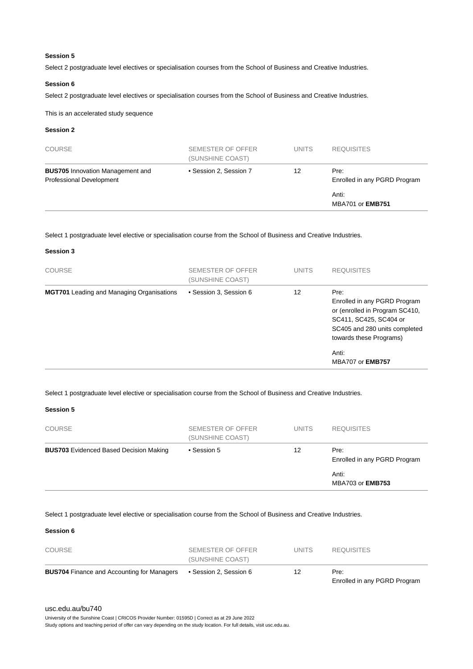#### **Session 5**

Select 2 postgraduate level electives or specialisation courses from the School of Business and Creative Industries.

#### **Session 6**

Select 2 postgraduate level electives or specialisation courses from the School of Business and Creative Industries.

This is an accelerated study sequence

#### **Session 2**

| <b>COURSE</b>                                                       | SEMESTER OF OFFER<br>(SUNSHINE COAST) | <b>UNITS</b> | <b>REQUISITES</b>                    |
|---------------------------------------------------------------------|---------------------------------------|--------------|--------------------------------------|
| <b>BUS705</b> Innovation Management and<br>Professional Development | • Session 2, Session 7                | 12           | Pre:<br>Enrolled in any PGRD Program |
|                                                                     |                                       |              | Anti:<br><b>MBA701 or EMB751</b>     |

Select 1 postgraduate level elective or specialisation course from the School of Business and Creative Industries.

| <b>Session 3</b> |  |  |
|------------------|--|--|
|------------------|--|--|

| <b>COURSE</b>                                    | SEMESTER OF OFFER<br>(SUNSHINE COAST) | <b>UNITS</b> | <b>REQUISITES</b>                                                                                                                                            |
|--------------------------------------------------|---------------------------------------|--------------|--------------------------------------------------------------------------------------------------------------------------------------------------------------|
| <b>MGT701</b> Leading and Managing Organisations | • Session 3, Session 6                | 12           | Pre:<br>Enrolled in any PGRD Program<br>or (enrolled in Program SC410,<br>SC411, SC425, SC404 or<br>SC405 and 280 units completed<br>towards these Programs) |
|                                                  |                                       |              | Anti:<br><b>MBA707 or EMB757</b>                                                                                                                             |

#### Select 1 postgraduate level elective or specialisation course from the School of Business and Creative Industries.

#### **Session 5**

| <b>COURSE</b>                                 | SEMESTER OF OFFER<br>(SUNSHINE COAST) | <b>UNITS</b> | <b>REQUISITES</b>                    |
|-----------------------------------------------|---------------------------------------|--------------|--------------------------------------|
| <b>BUS703</b> Evidenced Based Decision Making | • Session 5                           | 12           | Pre:<br>Enrolled in any PGRD Program |
|                                               |                                       |              | Anti:<br><b>MBA703 or EMB753</b>     |

Select 1 postgraduate level elective or specialisation course from the School of Business and Creative Industries.

#### **Session 6**

| <b>BUS704</b> Finance and Accounting for Managers | • Session 2. Session 6                | 12    | Pre:<br>Enrolled in any PGRD Program |
|---------------------------------------------------|---------------------------------------|-------|--------------------------------------|
| <b>COURSE</b>                                     | SEMESTER OF OFFER<br>(SUNSHINE COAST) | UNITS | <b>REQUISITES</b>                    |

#### [usc.edu.au/bu740](https://www.usc.edu.au/bu740)

University of the Sunshine Coast | CRICOS Provider Number: 01595D | Correct as at 29 June 2022

Study options and teaching period of offer can vary depending on the study location. For full details, visit usc.edu.au.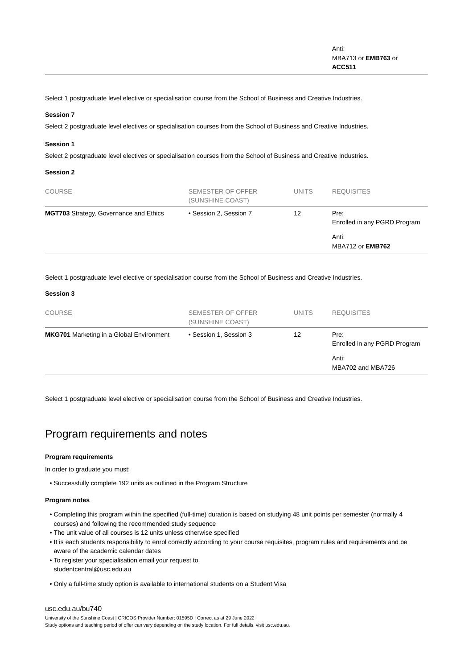Select 1 postgraduate level elective or specialisation course from the School of Business and Creative Industries.

#### **Session 7**

Select 2 postgraduate level electives or specialisation courses from the School of Business and Creative Industries.

#### **Session 1**

Select 2 postgraduate level electives or specialisation courses from the School of Business and Creative Industries.

#### **Session 2**

| <b>COURSE</b>                                 | SEMESTER OF OFFER<br>(SUNSHINE COAST) | <b>UNITS</b> | <b>REQUISITES</b>                    |
|-----------------------------------------------|---------------------------------------|--------------|--------------------------------------|
| <b>MGT703</b> Strategy, Governance and Ethics | • Session 2, Session 7                | 12           | Pre:<br>Enrolled in any PGRD Program |
|                                               |                                       |              | Anti:<br><b>MBA712 or EMB762</b>     |

Select 1 postgraduate level elective or specialisation course from the School of Business and Creative Industries.

#### **Session 3**

| <b>COURSE</b>                                   | <b>SEMESTER OF OFFER</b><br>(SUNSHINE COAST) | <b>UNITS</b> | <b>REQUISITES</b>                    |
|-------------------------------------------------|----------------------------------------------|--------------|--------------------------------------|
| <b>MKG701</b> Marketing in a Global Environment | • Session 1, Session 3                       | 12           | Pre:<br>Enrolled in any PGRD Program |
|                                                 |                                              |              | Anti:<br>MBA702 and MBA726           |

Select 1 postgraduate level elective or specialisation course from the School of Business and Creative Industries.

## Program requirements and notes

#### **Program requirements**

In order to graduate you must:

• Successfully complete 192 units as outlined in the Program Structure

#### **Program notes**

- Completing this program within the specified (full-time) duration is based on studying 48 unit points per semester (normally 4 courses) and following the recommended study sequence
- The unit value of all courses is 12 units unless otherwise specified
- It is each students responsibility to enrol correctly according to your course requisites, program rules and requirements and be aware of the academic calendar dates
- To register your specialisation email your request to studentcentral@usc.edu.au
- Only a full-time study option is available to international students on a Student Visa

#### [usc.edu.au/bu740](https://www.usc.edu.au/bu740)

University of the Sunshine Coast | CRICOS Provider Number: 01595D | Correct as at 29 June 2022 Study options and teaching period of offer can vary depending on the study location. For full details, visit usc.edu.au.